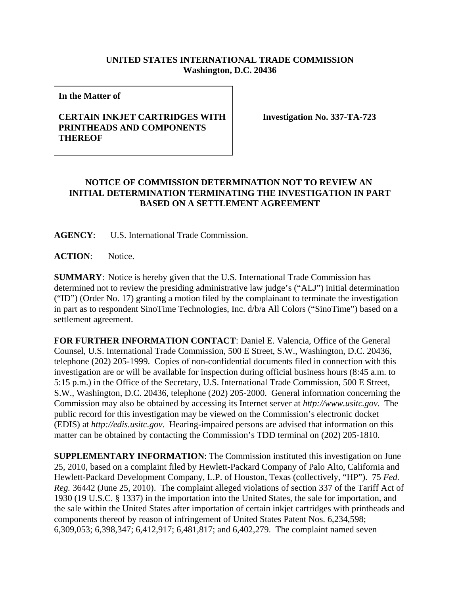## **UNITED STATES INTERNATIONAL TRADE COMMISSION Washington, D.C. 20436**

**In the Matter of** 

## **CERTAIN INKJET CARTRIDGES WITH PRINTHEADS AND COMPONENTS THEREOF**

**Investigation No. 337-TA-723**

## **NOTICE OF COMMISSION DETERMINATION NOT TO REVIEW AN INITIAL DETERMINATION TERMINATING THE INVESTIGATION IN PART BASED ON A SETTLEMENT AGREEMENT**

**AGENCY**: U.S. International Trade Commission.

**ACTION**: Notice.

**SUMMARY**: Notice is hereby given that the U.S. International Trade Commission has determined not to review the presiding administrative law judge's ("ALJ") initial determination ("ID") (Order No. 17) granting a motion filed by the complainant to terminate the investigation in part as to respondent SinoTime Technologies, Inc. d/b/a All Colors ("SinoTime") based on a settlement agreement.

**FOR FURTHER INFORMATION CONTACT**: Daniel E. Valencia, Office of the General Counsel, U.S. International Trade Commission, 500 E Street, S.W., Washington, D.C. 20436, telephone (202) 205-1999. Copies of non-confidential documents filed in connection with this investigation are or will be available for inspection during official business hours (8:45 a.m. to 5:15 p.m.) in the Office of the Secretary, U.S. International Trade Commission, 500 E Street, S.W., Washington, D.C. 20436, telephone (202) 205-2000. General information concerning the Commission may also be obtained by accessing its Internet server at *http://www.usitc.gov*. The public record for this investigation may be viewed on the Commission's electronic docket (EDIS) at *http://edis.usitc.gov*. Hearing-impaired persons are advised that information on this matter can be obtained by contacting the Commission's TDD terminal on (202) 205-1810.

**SUPPLEMENTARY INFORMATION**: The Commission instituted this investigation on June 25, 2010, based on a complaint filed by Hewlett-Packard Company of Palo Alto, California and Hewlett-Packard Development Company, L.P. of Houston, Texas (collectively, "HP"). 75 *Fed. Reg.* 36442 (June 25, 2010). The complaint alleged violations of section 337 of the Tariff Act of 1930 (19 U.S.C. § 1337) in the importation into the United States, the sale for importation, and the sale within the United States after importation of certain inkjet cartridges with printheads and components thereof by reason of infringement of United States Patent Nos. 6,234,598; 6,309,053; 6,398,347; 6,412,917; 6,481,817; and 6,402,279. The complaint named seven